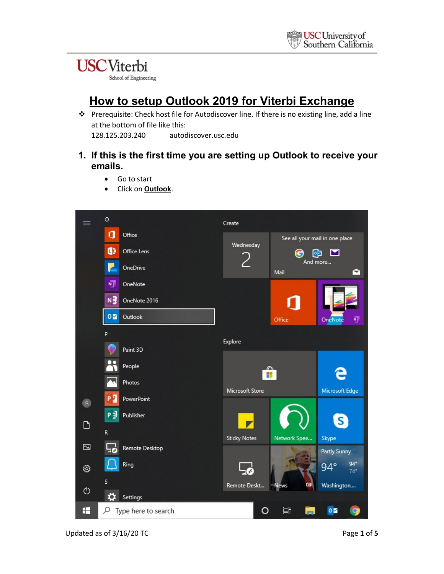## **USC**Viterbi School of Engineering

# **How to setup Outlook 2019 for Viterbi Exchange**

 Prerequisite: Check host file for Autodiscover line. If there is no existing line, add a line at the bottom of file like this: 128.125.203.240 autodiscover.usc.edu

### **1. If this is the first time you are setting up Outlook to receive your emails.**

- Go to start
- Click on **Outlook**.

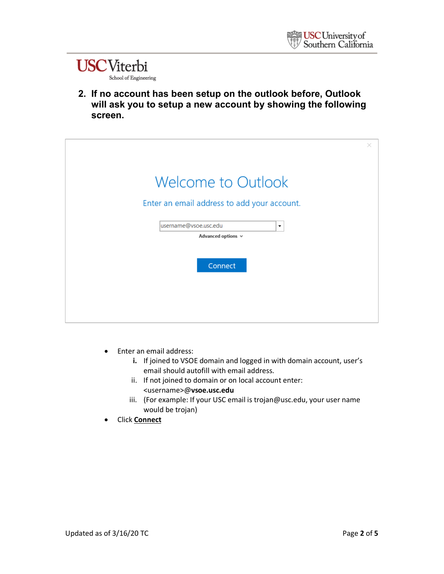

**2. If no account has been setup on the outlook before, Outlook will ask you to setup a new account by showing the following screen.**

|                                                                   | × |
|-------------------------------------------------------------------|---|
| <b>Welcome to Outlook</b>                                         |   |
| Enter an email address to add your account.                       |   |
| username@vsoe.usc.edu<br>$\pmb{\mathrm{v}}$<br>Advanced options v |   |
| Connect                                                           |   |
|                                                                   |   |
|                                                                   |   |

- Enter an email address:
	- **i.** If joined to VSOE domain and logged in with domain account, user's email should autofill with email address.
	- ii. If not joined to domain or on local account enter: <username>@**vsoe.usc.edu**
	- iii. (For example: If your USC email is trojan@usc.edu, your user name would be trojan)
- Click **Connect**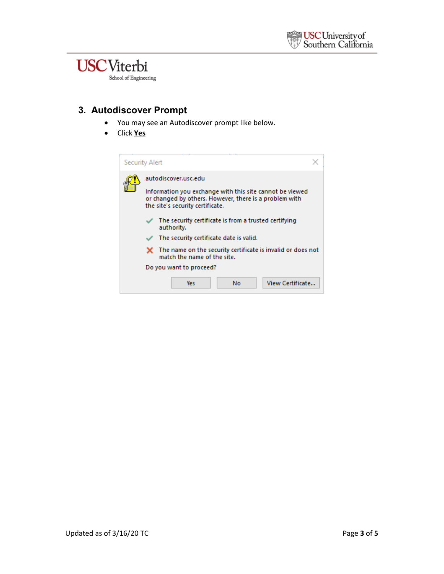

### **3. Autodiscover Prompt**

- You may see an Autodiscover prompt like below.
- Click **Yes**

| <b>Security Alert</b> |                                                                                                                                                                                                                                                                                                                                                                                                                                                                          |  |
|-----------------------|--------------------------------------------------------------------------------------------------------------------------------------------------------------------------------------------------------------------------------------------------------------------------------------------------------------------------------------------------------------------------------------------------------------------------------------------------------------------------|--|
|                       | autodiscover.usc.edu<br>Information you exchange with this site cannot be viewed<br>or changed by others. However, there is a problem with<br>the site's security certificate.<br>The security certificate is from a trusted certifying<br>authority.<br>The security certificate date is valid.<br>The name on the security certificate is invalid or does not<br>match the name of the site.<br>Do you want to proceed?<br>View Certificate<br><b>No</b><br><b>Yes</b> |  |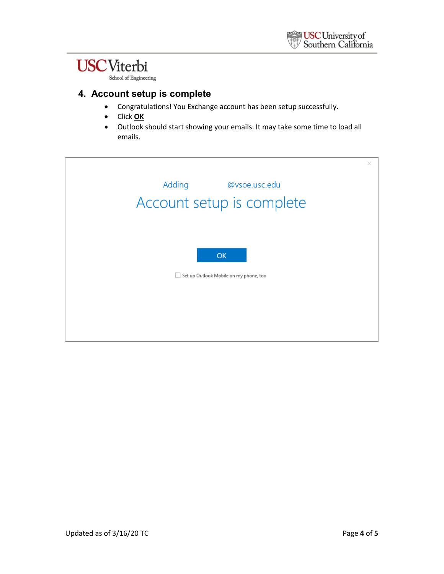# **USC**Viterbi

School of Engineering

#### **4. Account setup is complete**

- Congratulations! You Exchange account has been setup successfully.
- Click **OK**
- Outlook should start showing your emails. It may take some time to load all emails.

| Adding<br>@vsoe.usc.edu<br>Account setup is complete | $\times$ |
|------------------------------------------------------|----------|
| OK                                                   |          |
| Set up Outlook Mobile on my phone, too               |          |